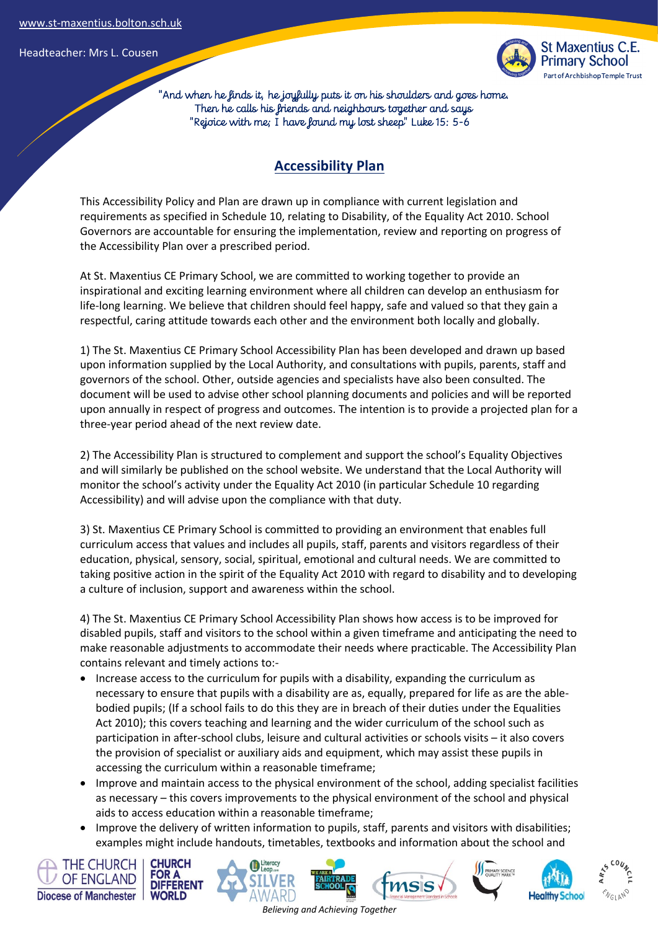Headteacher: Mrs L. Cousen



 "And when he finds it, he joyfully puts it on his shoulders and goes home. Then he calls his friends and neighbours together and says "Rejoice with me; I have found my lost sheep" Luke 15: 5-6

## **Accessibility Plan**

This Accessibility Policy and Plan are drawn up in compliance with current legislation and requirements as specified in Schedule 10, relating to Disability, of the Equality Act 2010. School Governors are accountable for ensuring the implementation, review and reporting on progress of the Accessibility Plan over a prescribed period.

At St. Maxentius CE Primary School, we are committed to working together to provide an inspirational and exciting learning environment where all children can develop an enthusiasm for life-long learning. We believe that children should feel happy, safe and valued so that they gain a respectful, caring attitude towards each other and the environment both locally and globally.

1) The St. Maxentius CE Primary School Accessibility Plan has been developed and drawn up based upon information supplied by the Local Authority, and consultations with pupils, parents, staff and governors of the school. Other, outside agencies and specialists have also been consulted. The document will be used to advise other school planning documents and policies and will be reported upon annually in respect of progress and outcomes. The intention is to provide a projected plan for a three-year period ahead of the next review date.

2) The Accessibility Plan is structured to complement and support the school's Equality Objectives and will similarly be published on the school website. We understand that the Local Authority will monitor the school's activity under the Equality Act 2010 (in particular Schedule 10 regarding Accessibility) and will advise upon the compliance with that duty.

3) St. Maxentius CE Primary School is committed to providing an environment that enables full curriculum access that values and includes all pupils, staff, parents and visitors regardless of their education, physical, sensory, social, spiritual, emotional and cultural needs. We are committed to taking positive action in the spirit of the Equality Act 2010 with regard to disability and to developing a culture of inclusion, support and awareness within the school.

4) The St. Maxentius CE Primary School Accessibility Plan shows how access is to be improved for disabled pupils, staff and visitors to the school within a given timeframe and anticipating the need to make reasonable adjustments to accommodate their needs where practicable. The Accessibility Plan contains relevant and timely actions to:-

- Increase access to the curriculum for pupils with a disability, expanding the curriculum as necessary to ensure that pupils with a disability are as, equally, prepared for life as are the ablebodied pupils; (If a school fails to do this they are in breach of their duties under the Equalities Act 2010); this covers teaching and learning and the wider curriculum of the school such as participation in after-school clubs, leisure and cultural activities or schools visits – it also covers the provision of specialist or auxiliary aids and equipment, which may assist these pupils in accessing the curriculum within a reasonable timeframe;
- Improve and maintain access to the physical environment of the school, adding specialist facilities as necessary – this covers improvements to the physical environment of the school and physical aids to access education within a reasonable timeframe;
- Improve the delivery of written information to pupils, staff, parents and visitors with disabilities; examples might include handouts, timetables, textbooks and information about the school and

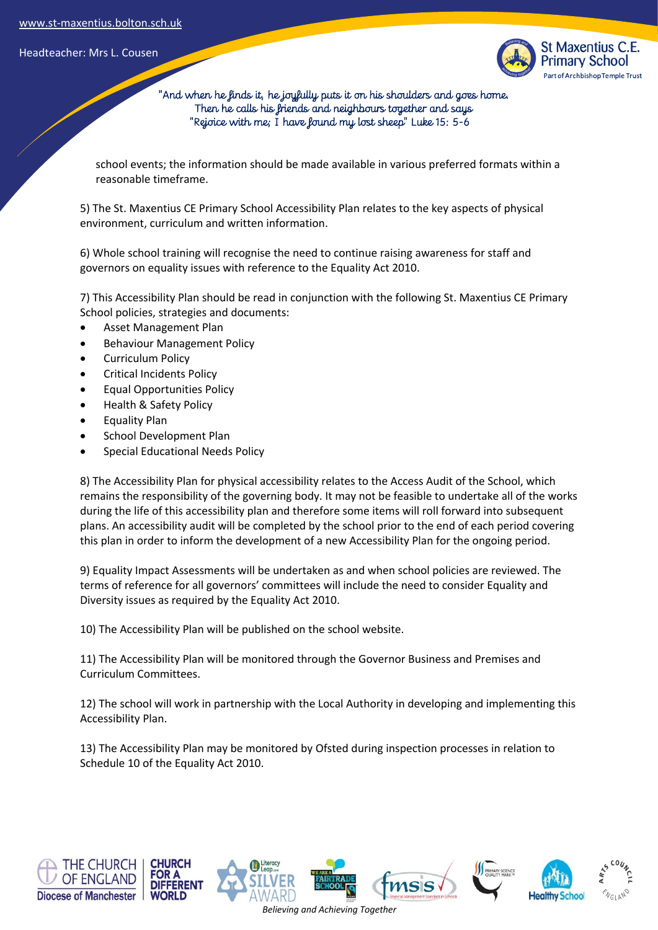Headteacher: Mrs L. Cousen



 "And when he finds it, he joyfully puts it on his shoulders and goes home. Then he calls his friends and neighbours together and says "Rejoice with me; I have found my lost sheep" Luke 15: 5-6

school events; the information should be made available in various preferred formats within a reasonable timeframe.

5) The St. Maxentius CE Primary School Accessibility Plan relates to the key aspects of physical environment, curriculum and written information.

6) Whole school training will recognise the need to continue raising awareness for staff and governors on equality issues with reference to the Equality Act 2010.

7) This Accessibility Plan should be read in conjunction with the following St. Maxentius CE Primary School policies, strategies and documents:

- Asset Management Plan
- Behaviour Management Policy
- Curriculum Policy
- Critical Incidents Policy
- Equal Opportunities Policy
- Health & Safety Policy
- Equality Plan
- School Development Plan
- Special Educational Needs Policy

8) The Accessibility Plan for physical accessibility relates to the Access Audit of the School, which remains the responsibility of the governing body. It may not be feasible to undertake all of the works during the life of this accessibility plan and therefore some items will roll forward into subsequent plans. An accessibility audit will be completed by the school prior to the end of each period covering this plan in order to inform the development of a new Accessibility Plan for the ongoing period.

9) Equality Impact Assessments will be undertaken as and when school policies are reviewed. The terms of reference for all governors' committees will include the need to consider Equality and Diversity issues as required by the Equality Act 2010.

10) The Accessibility Plan will be published on the school website.

11) The Accessibility Plan will be monitored through the Governor Business and Premises and Curriculum Committees.

12) The school will work in partnership with the Local Authority in developing and implementing this Accessibility Plan.

13) The Accessibility Plan may be monitored by Ofsted during inspection processes in relation to Schedule 10 of the Equality Act 2010.

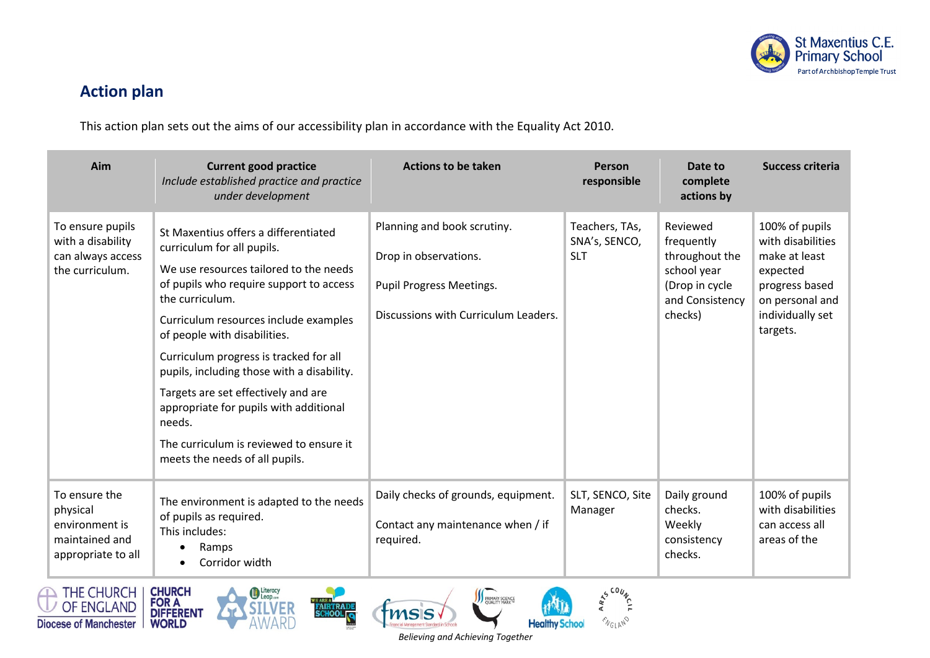

## **Action plan**

This action plan sets out the aims of our accessibility plan in accordance with the Equality Act 2010.

| Aim                                                                                 | <b>Current good practice</b><br>Include established practice and practice<br>under development                                                                                                                                                                                                                                                                                                                                                                                                                      | <b>Actions to be taken</b>                                                                                               | Person<br>responsible                         | Date to<br>complete<br>actions by                                                                       | <b>Success criteria</b>                                                                                                               |
|-------------------------------------------------------------------------------------|---------------------------------------------------------------------------------------------------------------------------------------------------------------------------------------------------------------------------------------------------------------------------------------------------------------------------------------------------------------------------------------------------------------------------------------------------------------------------------------------------------------------|--------------------------------------------------------------------------------------------------------------------------|-----------------------------------------------|---------------------------------------------------------------------------------------------------------|---------------------------------------------------------------------------------------------------------------------------------------|
| To ensure pupils<br>with a disability<br>can always access<br>the curriculum.       | St Maxentius offers a differentiated<br>curriculum for all pupils.<br>We use resources tailored to the needs<br>of pupils who require support to access<br>the curriculum.<br>Curriculum resources include examples<br>of people with disabilities.<br>Curriculum progress is tracked for all<br>pupils, including those with a disability.<br>Targets are set effectively and are<br>appropriate for pupils with additional<br>needs.<br>The curriculum is reviewed to ensure it<br>meets the needs of all pupils. | Planning and book scrutiny.<br>Drop in observations.<br>Pupil Progress Meetings.<br>Discussions with Curriculum Leaders. | Teachers, TAs,<br>SNA's, SENCO,<br><b>SLT</b> | Reviewed<br>frequently<br>throughout the<br>school year<br>(Drop in cycle<br>and Consistency<br>checks) | 100% of pupils<br>with disabilities<br>make at least<br>expected<br>progress based<br>on personal and<br>individually set<br>targets. |
| To ensure the<br>physical<br>environment is<br>maintained and<br>appropriate to all | The environment is adapted to the needs<br>of pupils as required.<br>This includes:<br>Ramps<br>Corridor width<br>$\bullet$                                                                                                                                                                                                                                                                                                                                                                                         | Daily checks of grounds, equipment.<br>Contact any maintenance when / if<br>required.                                    | SLT, SENCO, Site<br>Manager                   | Daily ground<br>checks.<br>Weekly<br>consistency<br>checks.                                             | 100% of pupils<br>with disabilities<br>can access all<br>areas of the                                                                 |









**III** PRIMARY SCIENCE